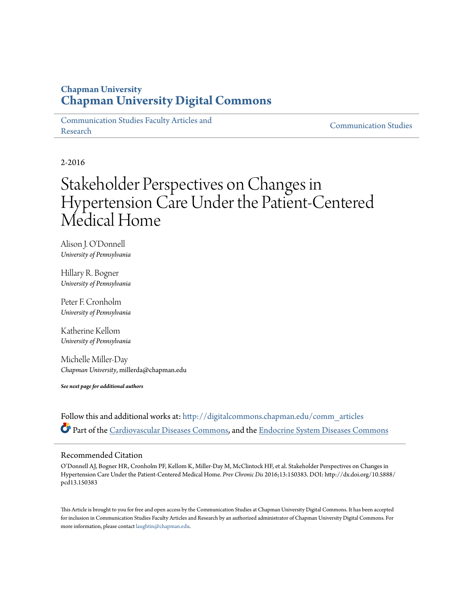### **Chapman University [Chapman University Digital Commons](http://digitalcommons.chapman.edu?utm_source=digitalcommons.chapman.edu%2Fcomm_articles%2F24&utm_medium=PDF&utm_campaign=PDFCoverPages)**

[Communication Studies Faculty Articles and](http://digitalcommons.chapman.edu/comm_articles?utm_source=digitalcommons.chapman.edu%2Fcomm_articles%2F24&utm_medium=PDF&utm_campaign=PDFCoverPages) [Research](http://digitalcommons.chapman.edu/comm_articles?utm_source=digitalcommons.chapman.edu%2Fcomm_articles%2F24&utm_medium=PDF&utm_campaign=PDFCoverPages) [Communication Studies](http://digitalcommons.chapman.edu/communication?utm_source=digitalcommons.chapman.edu%2Fcomm_articles%2F24&utm_medium=PDF&utm_campaign=PDFCoverPages)

2-2016

# Stakeholder Perspectives on Changes in Hypertension Care Under the Patient-Centered Medical Home

Alison J. O'Donnell *University of Pennsylvania*

Hillary R. Bogner *University of Pennsylvania*

Peter F. Cronholm *University of Pennsylvania*

Katherine Kellom *University of Pennsylvania*

Michelle Miller-Day *Chapman University*, millerda@chapman.edu

*See next page for additional authors*

Follow this and additional works at: [http://digitalcommons.chapman.edu/comm\\_articles](http://digitalcommons.chapman.edu/comm_articles?utm_source=digitalcommons.chapman.edu%2Fcomm_articles%2F24&utm_medium=PDF&utm_campaign=PDFCoverPages) Part of the [Cardiovascular Diseases Commons,](http://network.bepress.com/hgg/discipline/929?utm_source=digitalcommons.chapman.edu%2Fcomm_articles%2F24&utm_medium=PDF&utm_campaign=PDFCoverPages) and the [Endocrine System Diseases Commons](http://network.bepress.com/hgg/discipline/969?utm_source=digitalcommons.chapman.edu%2Fcomm_articles%2F24&utm_medium=PDF&utm_campaign=PDFCoverPages)

#### Recommended Citation

O'Donnell AJ, Bogner HR, Cronholm PF, Kellom K, Miller-Day M, McClintock HF, et al. Stakeholder Perspectives on Changes in Hypertension Care Under the Patient-Centered Medical Home. *Prev Chronic Dis* 2016;13:150383. DOI: http://dx.doi.org/10.5888/ pcd13.150383

This Article is brought to you for free and open access by the Communication Studies at Chapman University Digital Commons. It has been accepted for inclusion in Communication Studies Faculty Articles and Research by an authorized administrator of Chapman University Digital Commons. For more information, please contact [laughtin@chapman.edu](mailto:laughtin@chapman.edu).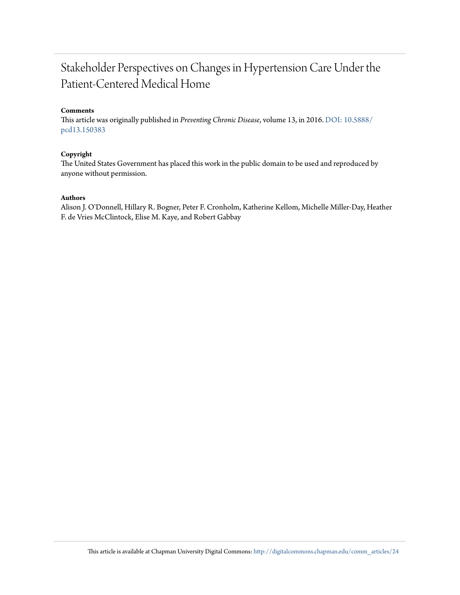# Stakeholder Perspectives on Changes in Hypertension Care Under the Patient-Centered Medical Home

#### **Comments**

This article was originally published in *Preventing Chronic Disease*, volume 13, in 2016. [DOI: 10.5888/](http://dx.doi.org/10.5888/pcd13.150383) [pcd13.150383](http://dx.doi.org/10.5888/pcd13.150383)

#### **Copyright**

The United States Government has placed this work in the public domain to be used and reproduced by anyone without permission.

#### **Authors**

Alison J. O'Donnell, Hillary R. Bogner, Peter F. Cronholm, Katherine Kellom, Michelle Miller-Day, Heather F. de Vries McClintock, Elise M. Kaye, and Robert Gabbay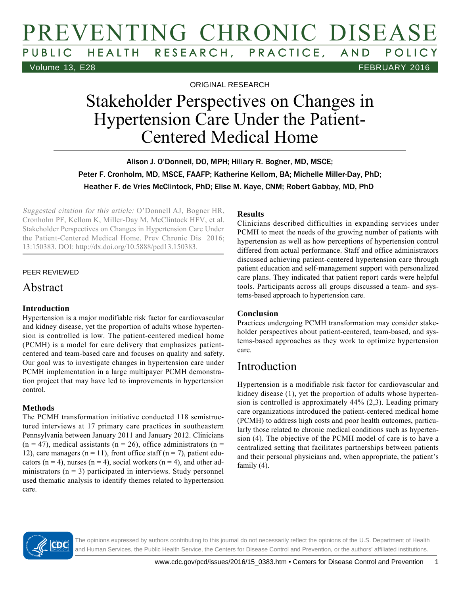# PREVENTING CHRONIC DISEASE HEALTH RESEARCH, PRACTICE, AND POLICY Volume 13, E28 FEBRUARY 2016

ORIGINAL RESEARCH

# Stakeholder Perspectives on Changes in Hypertension Care Under the Patient-Centered Medical Home

Alison J. O'Donnell, DO, MPH; Hillary R. Bogner, MD, MSCE; Peter F. Cronholm, MD, MSCE, FAAFP; Katherine Kellom, BA; Michelle Miller-Day, PhD; Heather F. de Vries McClintock, PhD; Elise M. Kaye, CNM; Robert Gabbay, MD, PhD

Suggested citation for this article: O'Donnell AJ, Bogner HR, Cronholm PF, Kellom K, Miller-Day M, McClintock HFV, et al. Stakeholder Perspectives on Changes in Hypertension Care Under the Patient-Centered Medical Home. Prev Chronic Dis 2016; 13:150383. DOI: http://dx.doi.org/10.5888/pcd13.150383.

### PEER REVIEWED

### Abstract

### **Introduction**

Hypertension is a major modifiable risk factor for cardiovascular and kidney disease, yet the proportion of adults whose hypertension is controlled is low. The patient-centered medical home (PCMH) is a model for care delivery that emphasizes patientcentered and team-based care and focuses on quality and safety. Our goal was to investigate changes in hypertension care under PCMH implementation in a large multipayer PCMH demonstration project that may have led to improvements in hypertension control.

### **Methods**

The PCMH transformation initiative conducted 118 semistructured interviews at 17 primary care practices in southeastern Pennsylvania between January 2011 and January 2012. Clinicians  $(n = 47)$ , medical assistants  $(n = 26)$ , office administrators  $(n = 16)$ 12), care managers ( $n = 11$ ), front office staff ( $n = 7$ ), patient educators ( $n = 4$ ), nurses ( $n = 4$ ), social workers ( $n = 4$ ), and other administrators  $(n = 3)$  participated in interviews. Study personnel used thematic analysis to identify themes related to hypertension care.

### **Results**

Clinicians described difficulties in expanding services under PCMH to meet the needs of the growing number of patients with hypertension as well as how perceptions of hypertension control differed from actual performance. Staff and office administrators discussed achieving patient-centered hypertension care through patient education and self-management support with personalized care plans. They indicated that patient report cards were helpful tools. Participants across all groups discussed a team- and systems-based approach to hypertension care.

### **Conclusion**

Practices undergoing PCMH transformation may consider stakeholder perspectives about patient-centered, team-based, and systems-based approaches as they work to optimize hypertension care.

### **Introduction**

Hypertension is a modifiable risk factor for cardiovascular and kidney disease (1), yet the proportion of adults whose hypertension is controlled is approximately 44% (2,3). Leading primary care organizations introduced the patient-centered medical home (PCMH) to address high costs and poor health outcomes, particularly those related to chronic medical conditions such as hypertension (4). The objective of the PCMH model of care is to have a centralized setting that facilitates partnerships between patients and their personal physicians and, when appropriate, the patient's family (4).

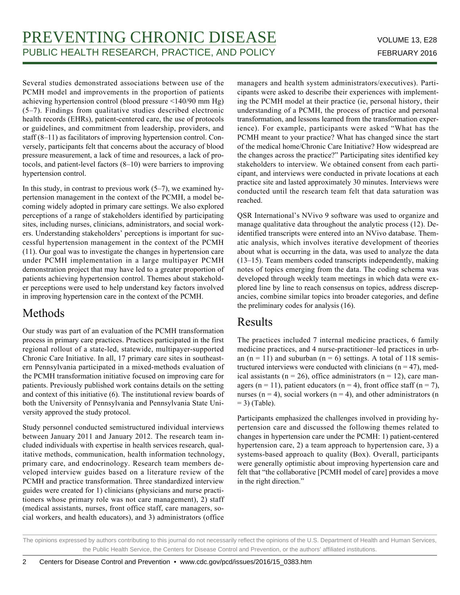Several studies demonstrated associations between use of the PCMH model and improvements in the proportion of patients achieving hypertension control (blood pressure <140/90 mm Hg) (5–7). Findings from qualitative studies described electronic health records (EHRs), patient-centered care, the use of protocols or guidelines, and commitment from leadership, providers, and staff (8–11) as facilitators of improving hypertension control. Conversely, participants felt that concerns about the accuracy of blood pressure measurement, a lack of time and resources, a lack of protocols, and patient-level factors (8–10) were barriers to improving hypertension control.

In this study, in contrast to previous work  $(5-7)$ , we examined hypertension management in the context of the PCMH, a model becoming widely adopted in primary care settings. We also explored perceptions of a range of stakeholders identified by participating sites, including nurses, clinicians, administrators, and social workers. Understanding stakeholders' perceptions is important for successful hypertension management in the context of the PCMH (11). Our goal was to investigate the changes in hypertension care under PCMH implementation in a large multipayer PCMH demonstration project that may have led to a greater proportion of patients achieving hypertension control. Themes about stakeholder perceptions were used to help understand key factors involved in improving hypertension care in the context of the PCMH.

# Methods

Our study was part of an evaluation of the PCMH transformation process in primary care practices. Practices participated in the first regional rollout of a state-led, statewide, multipayer-supported Chronic Care Initiative. In all, 17 primary care sites in southeastern Pennsylvania participated in a mixed-methods evaluation of the PCMH transformation initiative focused on improving care for patients. Previously published work contains details on the setting and context of this initiative (6). The institutional review boards of both the University of Pennsylvania and Pennsylvania State University approved the study protocol.

Study personnel conducted semistructured individual interviews between January 2011 and January 2012. The research team included individuals with expertise in health services research, qualitative methods, communication, health information technology, primary care, and endocrinology. Research team members developed interview guides based on a literature review of the PCMH and practice transformation. Three standardized interview guides were created for 1) clinicians (physicians and nurse practitioners whose primary role was not care management), 2) staff (medical assistants, nurses, front office staff, care managers, social workers, and health educators), and 3) administrators (office

managers and health system administrators/executives). Participants were asked to describe their experiences with implementing the PCMH model at their practice (ie, personal history, their understanding of a PCMH, the process of practice and personal transformation, and lessons learned from the transformation experience). For example, participants were asked "What has the PCMH meant to your practice? What has changed since the start of the medical home/Chronic Care Initiative? How widespread are the changes across the practice?" Participating sites identified key stakeholders to interview. We obtained consent from each participant, and interviews were conducted in private locations at each practice site and lasted approximately 30 minutes. Interviews were conducted until the research team felt that data saturation was reached.

QSR International's NVivo 9 software was used to organize and manage qualitative data throughout the analytic process (12). Deidentified transcripts were entered into an NVivo database. Thematic analysis, which involves iterative development of theories about what is occurring in the data, was used to analyze the data (13–15). Team members coded transcripts independently, making notes of topics emerging from the data. The coding schema was developed through weekly team meetings in which data were explored line by line to reach consensus on topics, address discrepancies, combine similar topics into broader categories, and define the preliminary codes for analysis (16).

### Results

The practices included 7 internal medicine practices, 6 family medicine practices, and 4 nurse-practitioner–led practices in urban  $(n = 11)$  and suburban  $(n = 6)$  settings. A total of 118 semistructured interviews were conducted with clinicians  $(n = 47)$ , medical assistants ( $n = 26$ ), office administrators ( $n = 12$ ), care managers ( $n = 11$ ), patient educators ( $n = 4$ ), front office staff ( $n = 7$ ), nurses ( $n = 4$ ), social workers ( $n = 4$ ), and other administrators ( $n = 4$ )  $= 3$ ) (Table).

Participants emphasized the challenges involved in providing hypertension care and discussed the following themes related to changes in hypertension care under the PCMH: 1) patient-centered hypertension care, 2) a team approach to hypertension care, 3) a systems-based approach to quality (Box). Overall, participants were generally optimistic about improving hypertension care and felt that "the collaborative [PCMH model of care] provides a move in the right direction."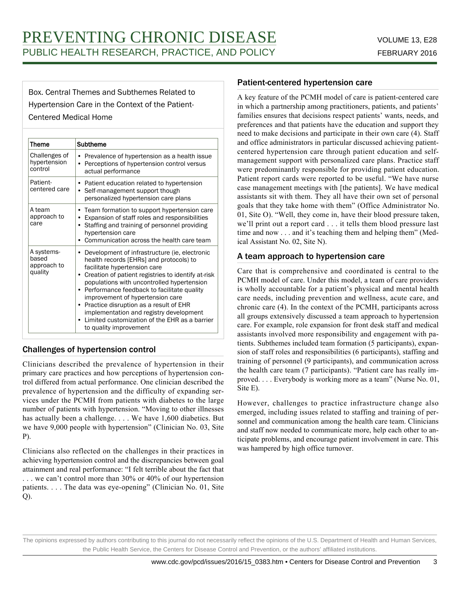Box. Central Themes and Subthemes Related to Hypertension Care in the Context of the Patient-Centered Medical Home

| Theme                                         | Subtheme                                                                                                                                                                                                                                                                                                                                                                                                                                                                       |  |  |  |  |
|-----------------------------------------------|--------------------------------------------------------------------------------------------------------------------------------------------------------------------------------------------------------------------------------------------------------------------------------------------------------------------------------------------------------------------------------------------------------------------------------------------------------------------------------|--|--|--|--|
| Challenges of<br>hypertension<br>control      | Prevalence of hypertension as a health issue.<br>Perceptions of hypertension control versus<br>actual performance                                                                                                                                                                                                                                                                                                                                                              |  |  |  |  |
| Patient-<br>centered care                     | • Patient education related to hypertension<br>Self-management support though<br>personalized hypertension care plans                                                                                                                                                                                                                                                                                                                                                          |  |  |  |  |
| A team<br>approach to<br>care                 | Team formation to support hypertension care<br>Expansion of staff roles and responsibilities<br>Staffing and training of personnel providing<br>hypertension care<br>Communication across the health care team                                                                                                                                                                                                                                                                 |  |  |  |  |
| A systems-<br>based<br>approach to<br>quality | Development of infrastructure (ie, electronic<br>health records [EHRs] and protocols) to<br>facilitate hypertension care<br>Creation of patient registries to identify at-risk<br>populations with uncontrolled hypertension<br>Performance feedback to facilitate quality<br>improvement of hypertension care<br>Practice disruption as a result of EHR<br>implementation and registry development<br>Limited customization of the EHR as a barrier<br>to quality improvement |  |  |  |  |

### Challenges of hypertension control

Clinicians described the prevalence of hypertension in their primary care practices and how perceptions of hypertension control differed from actual performance. One clinician described the prevalence of hypertension and the difficulty of expanding services under the PCMH from patients with diabetes to the large number of patients with hypertension. "Moving to other illnesses has actually been a challenge. . . . We have 1,600 diabetics. But we have 9,000 people with hypertension" (Clinician No. 03, Site P).

Clinicians also reflected on the challenges in their practices in achieving hypertension control and the discrepancies between goal attainment and real performance: "I felt terrible about the fact that ... we can't control more than 30% or 40% of our hypertension patients. . . . The data was eye-opening" (Clinician No. 01, Site Q).

### Patient-centered hypertension care

A key feature of the PCMH model of care is patient-centered care in which a partnership among practitioners, patients, and patients' families ensures that decisions respect patients' wants, needs, and preferences and that patients have the education and support they need to make decisions and participate in their own care (4). Staff and office administrators in particular discussed achieving patientcentered hypertension care through patient education and selfmanagement support with personalized care plans. Practice staff were predominantly responsible for providing patient education. Patient report cards were reported to be useful. "We have nurse case management meetings with [the patients]. We have medical assistants sit with them. They all have their own set of personal goals that they take home with them" (Office Administrator No. 01, Site O). "Well, they come in, have their blood pressure taken, we'll print out a report card . . . it tells them blood pressure last time and now . . . and it's teaching them and helping them" (Medical Assistant No. 02, Site N).

### A team approach to hypertension care

Care that is comprehensive and coordinated is central to the PCMH model of care. Under this model, a team of care providers is wholly accountable for a patient's physical and mental health care needs, including prevention and wellness, acute care, and chronic care (4). In the context of the PCMH, participants across all groups extensively discussed a team approach to hypertension care. For example, role expansion for front desk staff and medical assistants involved more responsibility and engagement with patients. Subthemes included team formation (5 participants), expansion of staff roles and responsibilities (6 participants), staffing and training of personnel (9 participants), and communication across the health care team (7 participants). "Patient care has really improved. . . . Everybody is working more as a team" (Nurse No. 01, Site E).

However, challenges to practice infrastructure change also emerged, including issues related to staffing and training of personnel and communication among the health care team. Clinicians and staff now needed to communicate more, help each other to anticipate problems, and encourage patient involvement in care. This was hampered by high office turnover.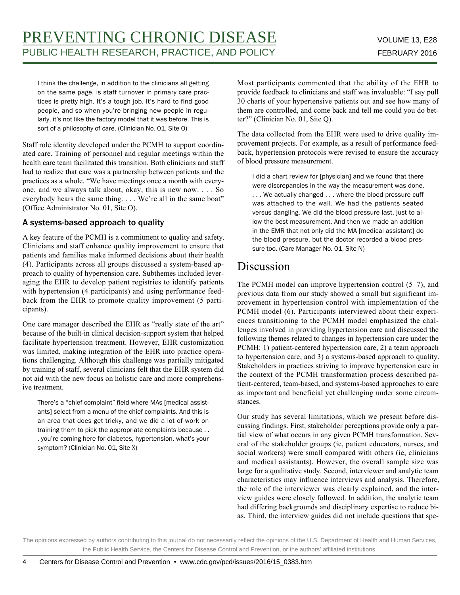I think the challenge, in addition to the clinicians all getting on the same page, is staff turnover in primary care practices is pretty high. It's a tough job. It's hard to find good people, and so when you're bringing new people in regularly, it's not like the factory model that it was before. This is sort of a philosophy of care. (Clinician No. 01, Site O)

Staff role identity developed under the PCMH to support coordinated care. Training of personnel and regular meetings within the health care team facilitated this transition. Both clinicians and staff had to realize that care was a partnership between patients and the practices as a whole. "We have meetings once a month with everyone, and we always talk about, okay, this is new now. . . . So everybody hears the same thing. . . . We're all in the same boat" (Office Administrator No. 01, Site O).

### A systems-based approach to quality

A key feature of the PCMH is a commitment to quality and safety. Clinicians and staff enhance quality improvement to ensure that patients and families make informed decisions about their health (4). Participants across all groups discussed a system-based approach to quality of hypertension care. Subthemes included leveraging the EHR to develop patient registries to identify patients with hypertension (4 participants) and using performance feedback from the EHR to promote quality improvement (5 participants).

One care manager described the EHR as "really state of the art" because of the built-in clinical decision-support system that helped facilitate hypertension treatment. However, EHR customization was limited, making integration of the EHR into practice operations challenging. Although this challenge was partially mitigated by training of staff, several clinicians felt that the EHR system did not aid with the new focus on holistic care and more comprehensive treatment.

There's a "chief complaint" field where MAs [medical assistants] select from a menu of the chief complaints. And this is an area that does get tricky, and we did a lot of work on training them to pick the appropriate complaints because . . . you're coming here for diabetes, hypertension, what's your symptom? (Clinician No. 01, Site X)

Most participants commented that the ability of the EHR to provide feedback to clinicians and staff was invaluable: "I say pull 30 charts of your hypertensive patients out and see how many of them are controlled, and come back and tell me could you do better?" (Clinician No. 01, Site Q).

The data collected from the EHR were used to drive quality improvement projects. For example, as a result of performance feedback, hypertension protocols were revised to ensure the accuracy of blood pressure measurement.

I did a chart review for [physician] and we found that there were discrepancies in the way the measurement was done. ... We actually changed ... where the blood pressure cuff was attached to the wall. We had the patients seated versus dangling. We did the blood pressure last, just to allow the best measurement. And then we made an addition in the EMR that not only did the MA [medical assistant] do the blood pressure, but the doctor recorded a blood pressure too. (Care Manager No. 01, Site N)

## Discussion

The PCMH model can improve hypertension control (5–7), and previous data from our study showed a small but significant improvement in hypertension control with implementation of the PCMH model (6). Participants interviewed about their experiences transitioning to the PCMH model emphasized the challenges involved in providing hypertension care and discussed the following themes related to changes in hypertension care under the PCMH: 1) patient-centered hypertension care, 2) a team approach to hypertension care, and 3) a systems-based approach to quality. Stakeholders in practices striving to improve hypertension care in the context of the PCMH transformation process described patient-centered, team-based, and systems-based approaches to care as important and beneficial yet challenging under some circumstances.

Our study has several limitations, which we present before discussing findings. First, stakeholder perceptions provide only a partial view of what occurs in any given PCMH transformation. Several of the stakeholder groups (ie, patient educators, nurses, and social workers) were small compared with others (ie, clinicians and medical assistants). However, the overall sample size was large for a qualitative study. Second, interviewer and analytic team characteristics may influence interviews and analysis. Therefore, the role of the interviewer was clearly explained, and the interview guides were closely followed. In addition, the analytic team had differing backgrounds and disciplinary expertise to reduce bias. Third, the interview guides did not include questions that spe-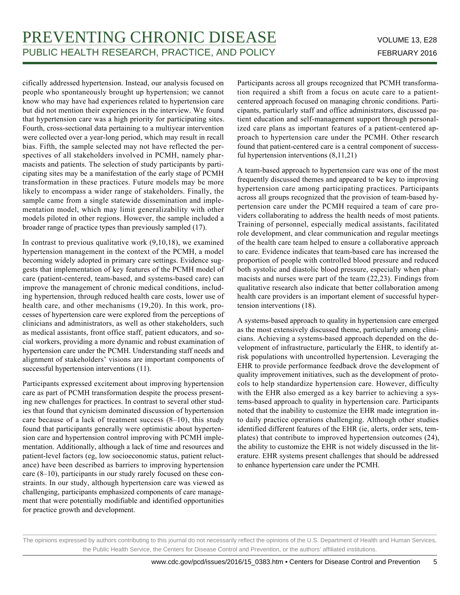cifically addressed hypertension. Instead, our analysis focused on people who spontaneously brought up hypertension; we cannot know who may have had experiences related to hypertension care but did not mention their experiences in the interview. We found that hypertension care was a high priority for participating sites. Fourth, cross-sectional data pertaining to a multiyear intervention were collected over a year-long period, which may result in recall bias. Fifth, the sample selected may not have reflected the perspectives of all stakeholders involved in PCMH, namely pharmacists and patients. The selection of study participants by participating sites may be a manifestation of the early stage of PCMH transformation in these practices. Future models may be more likely to encompass a wider range of stakeholders. Finally, the sample came from a single statewide dissemination and implementation model, which may limit generalizability with other models piloted in other regions. However, the sample included a broader range of practice types than previously sampled (17).

In contrast to previous qualitative work  $(9,10,18)$ , we examined hypertension management in the context of the PCMH, a model becoming widely adopted in primary care settings. Evidence suggests that implementation of key features of the PCMH model of care (patient-centered, team-based, and systems-based care) can improve the management of chronic medical conditions, including hypertension, through reduced health care costs, lower use of health care, and other mechanisms (19,20). In this work, processes of hypertension care were explored from the perceptions of clinicians and administrators, as well as other stakeholders, such as medical assistants, front office staff, patient educators, and social workers, providing a more dynamic and robust examination of hypertension care under the PCMH. Understanding staff needs and alignment of stakeholders' visions are important components of successful hypertension interventions (11).

Participants expressed excitement about improving hypertension care as part of PCMH transformation despite the process presenting new challenges for practices. In contrast to several other studies that found that cynicism dominated discussion of hypertension care because of a lack of treatment success (8–10), this study found that participants generally were optimistic about hypertension care and hypertension control improving with PCMH implementation. Additionally, although a lack of time and resources and patient-level factors (eg, low socioeconomic status, patient reluctance) have been described as barriers to improving hypertension care (8–10), participants in our study rarely focused on these constraints. In our study, although hypertension care was viewed as challenging, participants emphasized components of care management that were potentially modifiable and identified opportunities for practice growth and development.

Participants across all groups recognized that PCMH transformation required a shift from a focus on acute care to a patientcentered approach focused on managing chronic conditions. Participants, particularly staff and office administrators, discussed patient education and self-management support through personalized care plans as important features of a patient-centered approach to hypertension care under the PCMH. Other research found that patient-centered care is a central component of successful hypertension interventions (8,11,21)

A team-based approach to hypertension care was one of the most frequently discussed themes and appeared to be key to improving hypertension care among participating practices. Participants across all groups recognized that the provision of team-based hypertension care under the PCMH required a team of care providers collaborating to address the health needs of most patients. Training of personnel, especially medical assistants, facilitated role development, and clear communication and regular meetings of the health care team helped to ensure a collaborative approach to care. Evidence indicates that team-based care has increased the proportion of people with controlled blood pressure and reduced both systolic and diastolic blood pressure, especially when pharmacists and nurses were part of the team (22,23). Findings from qualitative research also indicate that better collaboration among health care providers is an important element of successful hypertension interventions (18).

A systems-based approach to quality in hypertension care emerged as the most extensively discussed theme, particularly among clinicians. Achieving a systems-based approach depended on the development of infrastructure, particularly the EHR, to identify atrisk populations with uncontrolled hypertension. Leveraging the EHR to provide performance feedback drove the development of quality improvement initiatives, such as the development of protocols to help standardize hypertension care. However, difficulty with the EHR also emerged as a key barrier to achieving a systems-based approach to quality in hypertension care. Participants noted that the inability to customize the EHR made integration into daily practice operations challenging. Although other studies identified different features of the EHR (ie, alerts, order sets, templates) that contribute to improved hypertension outcomes (24), the ability to customize the EHR is not widely discussed in the literature. EHR systems present challenges that should be addressed to enhance hypertension care under the PCMH.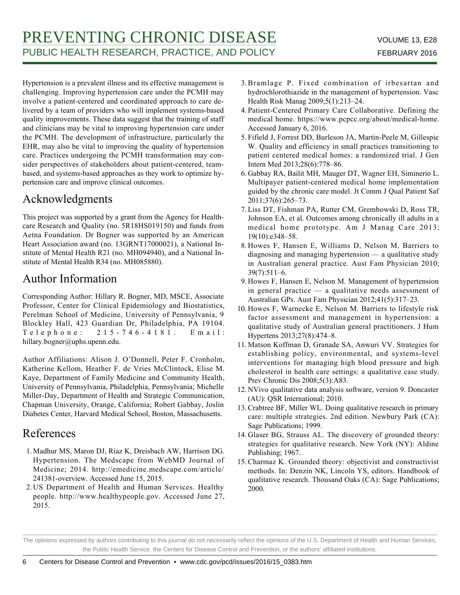Hypertension is a prevalent illness and its effective management is challenging. Improving hypertension care under the PCMH may involve a patient-centered and coordinated approach to care delivered by a team of providers who will implement systems-based quality improvements. These data suggest that the training of staff and clinicians may be vital to improving hypertension care under the PCMH. The development of infrastructure, particularly the EHR, may also be vital to improving the quality of hypertension care. Practices undergoing the PCMH transformation may consider perspectives of stakeholders about patient-centered, teambased, and systems-based approaches as they work to optimize hypertension care and improve clinical outcomes.

## Acknowledgments

This project was supported by a grant from the Agency for Healthcare Research and Quality (no. 5R18HS019150) and funds from Aetna Foundation. Dr Bogner was supported by an American Heart Association award (no. 13GRNT17000021), a National Institute of Mental Health R21 (no. MH094940), and a National Institute of Mental Health R34 (no. MH085880).

## Author Information

Corresponding Author: Hillary R. Bogner, MD, MSCE, Associate Professor, Center for Clinical Epidemiology and Biostatistics, Perelman School of Medicine, University of Pennsylvania, 9 Blockley Hall, 423 Guardian Dr, Philadelphia, PA 19104. Telephone: 215-746-4181. Email: hillary.bogner@uphs.upenn.edu.

Author Affiliations: Alison J. O'Donnell, Peter F. Cronholm, Katherine Kellom, Heather F. de Vries McClintock, Elise M. Kaye, Department of Family Medicine and Community Health, University of Pennsylvania, Philadelphia, Pennsylvania; Michelle Miller-Day, Department of Health and Strategic Communication, Chapman University, Orange, California; Robert Gabbay, Joslin Diabetes Center, Harvard Medical School, Boston, Massachusetts.

# References

- 1. Madhur MS, Maron DJ, Riaz K, Dreisbach AW, Harrison DG. Hypertension. The Medscape from WebMD Journal of Medicine; 2014. http://emedicine.medscape.com/article/ 241381-overview. Accessed June 15, 2015.
- 2. US Department of Health and Human Services. Healthy people. http://www.healthypeople.gov. Accessed June 27, 2015.
- 3. Bramlage P. Fixed combination of irbesartan and hydrochlorothiazide in the management of hypertension. Vasc Health Risk Manag 2009;5(1):213–24.
- 4. Patient-Centered Primary Care Collaborative. Defining the medical home. https://www.pcpcc.org/about/medical-home. Accessed January 6, 2016.
- Fifield J, Forrest DD, Burleson JA, Martin-Peele M, Gillespie 5. W. Quality and efficiency in small practices transitioning to patient centered medical homes: a randomized trial. J Gen Intern Med 2013;28(6):778–86.
- Gabbay RA, Bailit MH, Mauger DT, Wagner EH, Siminerio L. 6. Multipayer patient-centered medical home implementation guided by the chronic care model. Jt Comm J Qual Patient Saf 2011;37(6):265–73.
- 7. Liss DT, Fishman PA, Rutter CM, Grembowski D, Ross TR, Johnson EA, et al. Outcomes among chronically ill adults in a medical home prototype. Am J Manag Care 2013; 19(10):e348–58.
- 8. Howes F, Hansen E, Williams D, Nelson M. Barriers to diagnosing and managing hypertension — a qualitative study in Australian general practice. Aust Fam Physician 2010; 39(7):511–6.
- 9. Howes F, Hansen E, Nelson M. Management of hypertension in general practice — a qualitative needs assessment of Australian GPs. Aust Fam Physician 2012;41(5):317–23.
- 10. Howes F, Warnecke E, Nelson M. Barriers to lifestyle risk factor assessment and management in hypertension: a qualitative study of Australian general practitioners. J Hum Hypertens 2013;27(8):474–8.
- 11. Matson Koffman D, Granade SA, Anwuri VV. Strategies for establishing policy, environmental, and systems-level interventions for managing high blood pressure and high cholesterol in health care settings: a qualitative case study. Prev Chronic Dis 2008;5(3):A83.
- NVivo qualitative data analysis software, version 9. Doncaster 12. (AU): QSR International; 2010.
- 13. Crabtree BF, Miller WL. Doing qualitative research in primary care: multiple strategies. 2nd edition. Newbury Park (CA): Sage Publications; 1999.
- 14. Glaser BG, Strauss AL. The discovery of grounded theory: strategies for qualitative research. New York (NY): Aldine Publishing; 1967.
- 15. Charmaz K. Grounded theory: objectivist and constructivist methods. In: Denzin NK, Lincoln YS, editors. Handbook of qualitative research. Thousand Oaks (CA): Sage Publications; 2000.

The opinions expressed by authors contributing to this journal do not necessarily reflect the opinions of the U.S. Department of Health and Human Services, the Public Health Service, the Centers for Disease Control and Prevention, or the authors' affiliated institutions.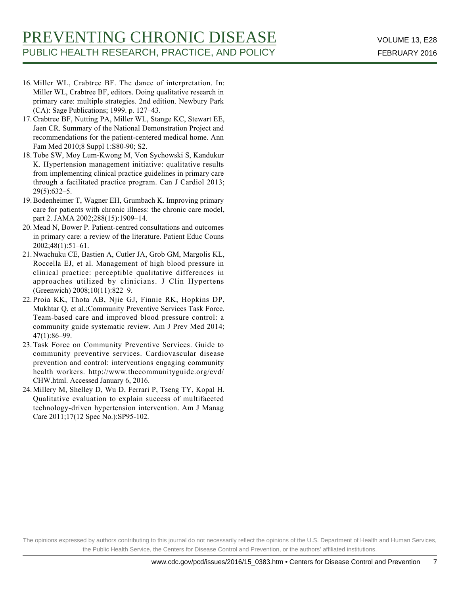- 16. Miller WL, Crabtree BF. The dance of interpretation. In: Miller WL, Crabtree BF, editors. Doing qualitative research in primary care: multiple strategies. 2nd edition. Newbury Park (CA): Sage Publications; 1999. p. 127–43.
- 17. Crabtree BF, Nutting PA, Miller WL, Stange KC, Stewart EE, Jaen CR. Summary of the National Demonstration Project and recommendations for the patient-centered medical home. Ann Fam Med 2010;8 Suppl 1:S80-90; S2.
- 18. Tobe SW, Moy Lum-Kwong M, Von Sychowski S, Kandukur K. Hypertension management initiative: qualitative results from implementing clinical practice guidelines in primary care through a facilitated practice program. Can J Cardiol 2013; 29(5):632–5.
- 19. Bodenheimer T, Wagner EH, Grumbach K. Improving primary care for patients with chronic illness: the chronic care model, part 2. JAMA 2002;288(15):1909–14.
- Mead N, Bower P. Patient-centred consultations and outcomes 20. in primary care: a review of the literature. Patient Educ Couns 2002;48(1):51–61.
- 21. Nwachuku CE, Bastien A, Cutler JA, Grob GM, Margolis KL, Roccella EJ, et al. Management of high blood pressure in clinical practice: perceptible qualitative differences in approaches utilized by clinicians. J Clin Hypertens (Greenwich) 2008;10(11):822–9.
- 22. Proia KK, Thota AB, Njie GJ, Finnie RK, Hopkins DP, Mukhtar Q, et al.;Community Preventive Services Task Force. Team-based care and improved blood pressure control: a community guide systematic review. Am J Prev Med 2014; 47(1):86–99.
- 23. Task Force on Community Preventive Services. Guide to community preventive services. Cardiovascular disease prevention and control: interventions engaging community health workers. http://www.thecommunityguide.org/cvd/ CHW.html. Accessed January 6, 2016.
- 24. Millery M, Shelley D, Wu D, Ferrari P, Tseng TY, Kopal H. Qualitative evaluation to explain success of multifaceted technology-driven hypertension intervention. Am J Manag Care 2011;17(12 Spec No.):SP95-102.